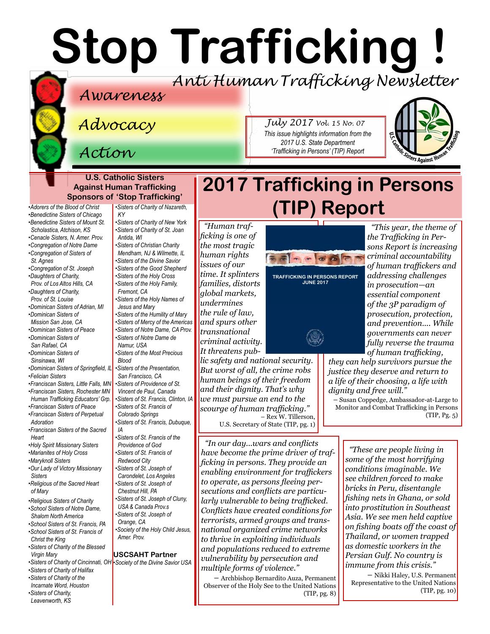# **Stop Trafficking !**

### *Anti Human Trafficking Newsletter*

### *Awareness*

*Advocacy*

*Action*

#### **U.S. Catholic Sisters Against Human Trafficking Sponsors of 'Stop Trafficking'**

*•[Adorers of the Blood of Christ](http://www.adorers.org/)  [•Benedictine Sisters of Chicago](http://www.osbchicago.org/index.htm)  [•Benedictine Sisters of Mount St.](http://www.mountosb.org/)  [Scholastica](http://www.mountosb.org/), Atchison, KS •[Cenacle Sisters, N. Amer. Prov.](http://www.cenaclesisters.org/)  [•Congregation of Notre Dame](http://www.cnd-m.org/en/justice/index.php)  •[Congregation of Sisters of](http://www.csasisters.org/)  •[Congregation of St. Joseph](https://www.csjoseph.org/)  •[Daughters of Charity,](http://www.daughtersofcharity.com)  [Prov. of](http://www.daughtersofcharity.com) Los Altos Hills, CA •[Daughters of Charity,](http://www.thedaughtersofcharity.org/)  [Prov. of St. Louise](http://www.thedaughtersofcharity.org/) •[Dominican Sisters of Adrian, MI](http://www.adriandominicans.org/)  [•Dominican Sisters of](https://www.msjdominicans.org/)  [Mission San Jose, CA](https://www.msjdominicans.org/) •[Dominican Sisters of Peace](http://www.oppeace.org)  •[Dominican Sisters of](http://sanrafaelop.org/)  [•Dominican Sisters of](http://www.sinsinawa.org/)  •[Dominican Sisters of Springfield, IL](http://springfieldop.org/) •[Franciscan Sisters, Little Falls, MN](http://www.fslf.org/)  [•Franciscan Sisters, Rochester MN](https://www.rochesterfranciscan.org/what-we-do/justice-and-peace/human-rights-issues.html)  [Human Trafficking Educators' Grp.](https://www.rochesterfranciscan.org/what-we-do/justice-and-peace/human-rights-issues.html) [•Franciscan Sisters of Peace](https://sites.google.com/site/fspnet2/home)  [•Franciscan Sisters of Perpetual](http://www.fspa.org/content/ministries/justice-peace/partnerships)  •[Franciscan Sisters of the Sacred](http://www.fssh.com)  •[Holy Spirit Missionary Sisters](http://www.ssps-usa.org)  •[Marianites of Holy Cross](http://www.marianites.org/)  •[Maryknoll Sisters](https://www.maryknollsisters.org/)  [•Our Lady of Victory Missionary](http://www.olvm.org)  [•Religious of the Sacred Heart](http://www.rshm.org/)  [•Religious Sisters of Charity](http://www.rsccaritas.ie/)  [•School Sisters of Notre Dame,](http://www.ssnd.org)  [Shalom North America](http://www.ssnd.org)  [•School Sisters of St. Francis, PA](http://www.schoolsistersosf.org/)  •[School Sisters of St. Francis of](http://www.lemontfranciscans.org)  [KY](http://www.scnfamily.org/)  [Antida, WI](http://www.suoredellacarita.org/) [Fremont, CA](http://www.holyfamilysisters.org/)  [Namur, USA](www.sndden.org/index.html)  [Blood](http://cpps-ofallon.org/) [IA](http://www.osfdbq.org/) [Redwood City](http://www.franciscanway.org/stfrancisprovince.html)  [Orange, CA](http://csjorange.org/)  [Amer. Prov.](http://www.shcj.org/american)* 

*[Christ the King](http://www.lemontfranciscans.org)  [•Sisters of Charity of the Blessed](http://www.bvmcong.org/)  [Virgin Mary](http://www.bvmcong.org/) [•Sisters of Charity of Halifax](http://www.schalifax.ca/) [•Sisters of Charity of the](http://www.sistersofcharity.org/)* 

*[Incarnate Word, Houston](http://www.sistersofcharity.org/) [•Sisters of Charity,](http://www.scls.org/)* 

*[Leavenworth, KS](http://www.scls.org/)*

*[St. Agnes](http://www.csasisters.org/)* 

*[San Rafael, CA](http://sanrafaelop.org/)* 

*[Sinsinawa, WI](http://www.sinsinawa.org/)* 

*•[Felician Sisters](http://feliciansisters.org/)* 

*[Adoration](http://www.fspa.org/content/ministries/justice-peace/partnerships)*

*[Heart](http://www.fssh.com)*

*[Sisters](http://www.olvm.org)* 

*[of Mary](http://www.rshm.org/)* 

*[•Sisters of Charity of Cincinnati, OH](http://www.srcharitycinti.org/) [•Society of the Divine Savior USA](http://www.salvatorians.com/)  [•Sisters of Charity of Nazareth,](http://www.scnfamily.org/)  [•Sisters of Charity of New York](http://scny.org/)  •[Sisters of Charity of St. Joan](http://www.suoredellacarita.org/)  •Sisters of Christian Charity [Mendham, NJ](http://www.scceast.org) [& Wilmette, IL](http://www.sccwilmette.org)  [•Sisters of the Divine Savior](http://www.sccwilmette.org) •[Sisters of the Good Shepherd](http://sistersofthegoodshepherd.com/)  •[Sisters of the Holy Cross](http://www.cscsisters.org/)  [•Sisters of the Holy Family,](http://www.holyfamilysisters.org/)  •[Sisters of the Holy Names of](http://www.snjm.org/index.php?lang=en)  [Jesus and Mary](http://www.snjm.org/index.php?lang=en) •[Sisters of the Humility of Mary](http://www.humilityofmary.org/)  [•Sisters of Mercy of the Americas](http://www.sistersofmercy.org/) [•Sisters of Notre Dame, CA Prov.](http://www.sndca.org/)  [•Sisters of Notre Dame de](www.sndden.org/index.html)  •[Sisters of the Most Precious](http://cpps-ofallon.org/)  [•Sisters of the Presentation,](http://www.presentationsisterssf.org/)  [San Francisco, CA](http://www.presentationsisterssf.org/)  [•Sisters of Providence of St.](http://www.providence.ca)  [Vincent de Paul, Canada](http://www.providence.ca)  [•Sisters of St. Francis, Clinton, IA](http://www.clintonfranciscans.com/)  •[Sisters of St. Francis of](http://stfrancis.org/)  [Colorado Springs](http://stfrancis.org/)  •[Sisters of St. Francis, Dubuque,](http://www.osfdbq.org/)  [•Sisters of St. Francis of the](http://www.osfprov.org/)  [Providence of God](http://www.osfprov.org/)  •[Sisters of St. Francis of](http://www.franciscanway.org/stfrancisprovince.html)  [•Sisters of St. Joseph of](http://www.csjla.org)  [Carondelet, Los Angeles](http://www.csjla.org)  •[Sisters of St. Joseph of](http://ssjphila.org/new/)  [Chestnut Hill, PA](http://ssjphila.org/new/) [•Sisters of St. Joseph of Cluny,](http://www.clunyusandcanada.org/)  [USA & Canada Prov.s](http://www.clunyusandcanada.org/)  •[Sisters of St. Joseph of](http://csjorange.org/)  [•Society of the Holy Child Jesus,](http://www.shcj.org/american)*  **USCSAHT Partner**

*"Human trafficking is one of the most tragic human rights issues of our time. It splinters families, distorts global markets, undermines the rule of law, and spurs other transnational criminal activity. It threatens pub-*

*lic safety and national security. But worst of all, the crime robs human beings of their freedom and their dignity. That's why we must pursue an end to the scourge of human trafficking."*  – Rex W. Tillerson, U.S. Secretary of State (TIP, pg. 1)

*"In our day...wars and conflicts have become the prime driver of trafficking in persons. They provide an enabling environment for traffickers to operate, as persons fleeing persecutions and conflicts are particularly vulnerable to being trafficked. Conflicts have created conditions for terrorists, armed groups and transnational organized crime networks to thrive in exploiting individuals and populations reduced to extreme vulnerability by persecution and multiple forms of violence."* 

– Archbishop Bernardito Auza, Permanent Observer of the Holy See to the United Nations (TIP, pg. 8)

### **2017 Trafficking in Persons (TIP) Report**



*July 2017 Vol. 15 No. 07 This issue highlights information from the 2017 U.S. State Department 'Trafficking in Persons' (TIP) Report* 

**TRAFFICKING IN PERSONS REPORT JUNE 2017**



*"This year, the theme of the Trafficking in Persons Report is increasing of human traffickers and addressing challenges in prosecution—an essential component of the 3P paradigm of prosecution, protection, and prevention.... While governments can never fully reverse the trauma of human trafficking,* 

ters Against H

*they can help survivors pursue the justice they deserve and return to a life of their choosing, a life with dignity and free will."*

– Susan Coppedge, Ambassador-at-Large to Monitor and Combat Trafficking in Persons (TIP, Pg. 5)

*"These are people living in some of the most horrifying conditions imaginable. We see children forced to make bricks in Peru, disentangle fishing nets in Ghana, or sold into prostitution in Southeast Asia. We see men held captive on fishing boats off the coast of Thailand, or women trapped as domestic workers in the Persian Gulf. No country is immune from this crisis."*

– Nikki Haley, U.S. Permanent Representative to the United Nations (TIP, pg. 10)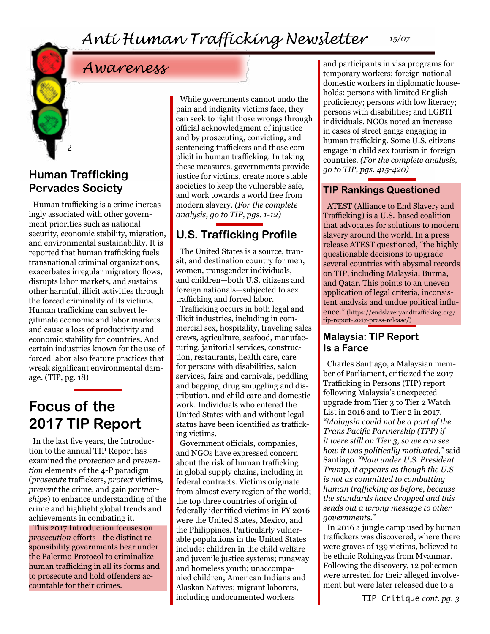### *Awareness*

### **Human Trafficking Pervades Society**

2

Human trafficking is a crime increasingly associated with other government priorities such as national security, economic stability, migration, and environmental sustainability. It is reported that human trafficking fuels transnational criminal organizations, exacerbates irregular migratory flows, disrupts labor markets, and sustains other harmful, illicit activities through the forced criminality of its victims. Human trafficking can subvert legitimate economic and labor markets and cause a loss of productivity and economic stability for countries. And certain industries known for the use of forced labor also feature practices that wreak significant environmental damage. (TIP, pg. 18)

### **Focus of the 2017 TIP Report**

In the last five years, the Introduction to the annual TIP Report has examined the *protection* and *prevention* elements of the 4-P paradigm (*prosecute* traffickers, *protect* victims, *prevent* the crime, and gain *partnerships*) to enhance understanding of the crime and highlight global trends and achievements in combating it. This 2017 Introduction focuses on *prosecution* efforts—the distinct responsibility governments bear under the Palermo Protocol to criminalize human trafficking in all its forms and

to prosecute and hold offenders ac-

countable for their crimes.

While governments cannot undo the pain and indignity victims face, they can seek to right those wrongs through official acknowledgment of injustice and by prosecuting, convicting, and sentencing traffickers and those complicit in human trafficking. In taking these measures, governments provide justice for victims, create more stable societies to keep the vulnerable safe, and work towards a world free from modern slavery. *(For the complete analysis, go to TIP, pgs. 1-12)*

### **U.S. Trafficking Profile**

The United States is a source, transit, and destination country for men, women, transgender individuals, and children—both U.S. citizens and foreign nationals—subjected to sex trafficking and forced labor.

Trafficking occurs in both legal and illicit industries, including in commercial sex, hospitality, traveling sales crews, agriculture, seafood, manufacturing, janitorial services, construction, restaurants, health care, care for persons with disabilities, salon services, fairs and carnivals, peddling and begging, drug smuggling and distribution, and child care and domestic work. Individuals who entered the United States with and without legal status have been identified as trafficking victims.

Government officials, companies, and NGOs have expressed concern about the risk of human trafficking in global supply chains, including in federal contracts. Victims originate from almost every region of the world; the top three countries of origin of federally identified victims in FY 2016 were the United States, Mexico, and the Philippines. Particularly vulnerable populations in the United States include: children in the child welfare and juvenile justice systems; runaway and homeless youth; unaccompanied children; American Indians and Alaskan Natives; migrant laborers, including undocumented workers

and participants in visa programs for temporary workers; foreign national domestic workers in diplomatic households; persons with limited English proficiency; persons with low literacy; persons with disabilities; and LGBTI individuals. NGOs noted an increase in cases of street gangs engaging in human trafficking. Some U.S. citizens engage in child sex tourism in foreign countries. *(For the complete analysis, go to TIP, pgs. 415-420)*

#### **TIP Rankings Questioned**

ATEST (Alliance to End Slavery and Trafficking) is a U.S.-based coalition that advocates for solutions to modern slavery around the world. In a press release ATEST questioned, "the highly questionable decisions to upgrade several countries with abysmal records on TIP, including Malaysia, Burma, and Qatar. This points to an uneven application of legal criteria, inconsistent analysis and undue political influence." (https://endslaveryandtrafficking.org/ tip-report-2017-press-release/)

#### **Malaysia: TIP Report Is a Farce**

Charles Santiago, a Malaysian member of Parliament, criticized the 2017 Trafficking in Persons (TIP) report following Malaysia's unexpected upgrade from Tier 3 to Tier 2 Watch List in 2016 and to Tier 2 in 2017. *"Malaysia could not be a part of the Trans Pacific Partnership (TPP) if it were still on Tier 3, so we can see how it was politically motivated,"* said Santiago. *"Now under U.S. President Trump, it appears as though the U.S is not as committed to combatting human trafficking as before, because the standards have dropped and this sends out a wrong message to other governments."*

In 2016 a jungle camp used by human traffickers was discovered, where there were graves of 139 victims, believed to be ethnic Rohingyas from Myanmar. Following the discovery, 12 policemen were arrested for their alleged involvement but were later released due to a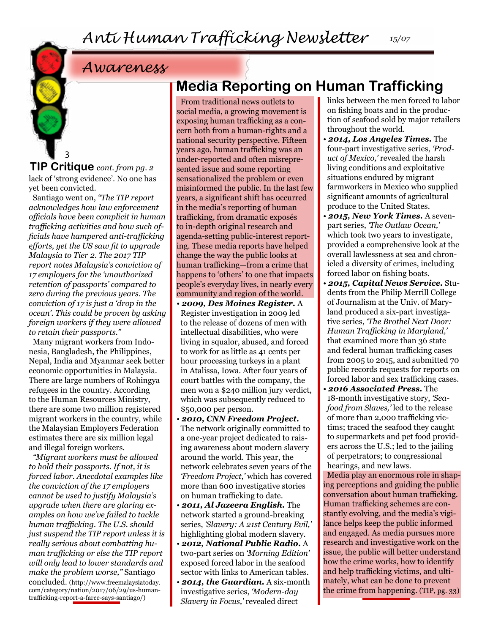### *Awareness*

3 lack of 'strong evidence'. No one has yet been convicted. **TIP Critique** *cont. from pg. 2*

Santiago went on, *"The TIP report acknowledges how law enforcement officials have been complicit in human trafficking activities and how such officials have hampered anti-trafficking efforts, yet the US saw fit to upgrade Malaysia to Tier 2. The 2017 TIP report notes Malaysia's conviction of 17 employers for the 'unauthorized retention of passports' compared to zero during the previous years. The conviction of 17 is just a 'drop in the ocean'. This could be proven by asking foreign workers if they were allowed to retain their passports."* 

Many migrant workers from Indonesia, Bangladesh, the Philippines, Nepal, India and Myanmar seek better economic opportunities in Malaysia. There are large numbers of Rohingya refugees in the country. According to the Human Resources Ministry, there are some two million registered migrant workers in the country, while the Malaysian Employers Federation estimates there are six million legal and illegal foreign workers.

*"Migrant workers must be allowed to hold their passports. If not, it is forced labor. Anecdotal examples like the conviction of the 17 employers cannot be used to justify Malaysia's upgrade when there are glaring examples on how we've failed to tackle human trafficking. The U.S. should just suspend the TIP report unless it is really serious about combatting human trafficking or else the TIP report will only lead to lower standards and make the problem worse,"* Santiago concluded. [\(http://www.freemalaysiatoday.](http://www.freemalaysiatoday.com/category/nation/2017/06/29/us-human-trafficking-report-a-farce-says) [com/category/nation/2017/06/29/us-human](http://www.freemalaysiatoday.com/category/nation/2017/06/29/us-human-trafficking-report-a-farce-says)[trafficking-report-a-farce-says-santiago/](http://www.freemalaysiatoday.com/category/nation/2017/06/29/us-human-trafficking-report-a-farce-says))

### **Media Reporting on Human Trafficking**

From traditional news outlets to social media, a growing movement is exposing human trafficking as a concern both from a human-rights and a national security perspective. Fifteen years ago, human trafficking was an under-reported and often misrepresented issue and some reporting sensationalized the problem or even misinformed the public. In the last few years, a significant shift has occurred in the media's reporting of human trafficking, from dramatic exposés to in-depth original research and agenda-setting public-interest reporting. These media reports have helped change the way the public looks at human trafficking—from a crime that happens to 'others' to one that impacts people's everyday lives, in nearly every community and region of the world.

- • *2009, Des Moines Register.* A Register investigation in 2009 led to the release of dozens of men with intellectual disabilities, who were living in squalor, abused, and forced to work for as little as 41 cents per hour processing turkeys in a plant in Atalissa, Iowa. After four years of court battles with the company, the men won a \$240 million jury verdict, which was subsequently reduced to \$50,000 per person.
- *2010, CNN Freedom Project.* The network originally committed to a one-year project dedicated to raising awareness about modern slavery around the world. This year, the network celebrates seven years of the *'Freedom Project,'* which has covered more than 600 investigative stories on human trafficking to date.
- *2011, Al Jazeera English.* The network started a ground-breaking series, *'Slavery: A 21st Century Evil,'*  highlighting global modern slavery.
- *2012, National Public Radio.* A two-part series on *'Morning Edition'*  exposed forced labor in the seafood sector with links to American tables.
- *2014, the Guardian.* A six-month investigative series, *'Modern-day Slavery in Focus,'* revealed direct

links between the men forced to labor on fishing boats and in the production of seafood sold by major retailers throughout the world.

- *2014, Los Angeles Times.* The four-part investigative series, *'Product of Mexico,'* revealed the harsh living conditions and exploitative situations endured by migrant farmworkers in Mexico who supplied significant amounts of agricultural produce to the United States.
- *2015, New York Times.* A sevenpart series, *'The Outlaw Ocean,'*  which took two years to investigate, provided a comprehensive look at the overall lawlessness at sea and chronicled a diversity of crimes, including forced labor on fishing boats.
- *2015, Capital News Service.* Students from the Philip Merrill College of Journalism at the Univ. of Maryland produced a six-part investigative series, *'The Brothel Next Door: Human Trafficking in Maryland,'* that examined more than 36 state and federal human trafficking cases from 2005 to 2015, and submitted 70 public records requests for reports on forced labor and sex trafficking cases.
- *2016 Associated Press.* The 18-month investigative story, *'Seafood from Slaves,'* led to the release of more than 2,000 trafficking victims; traced the seafood they caught to supermarkets and pet food providers across the U.S.; led to the jailing of perpetrators; to congressional hearings, and new laws.

Media play an enormous role in shaping perceptions and guiding the public conversation about human trafficking. Human trafficking schemes are constantly evolving, and the media's vigilance helps keep the public informed and engaged. As media pursues more research and investigative work on the issue, the public will better understand how the crime works, how to identify and help trafficking victims, and ultimately, what can be done to prevent the crime from happening. (TIP, pg. 33)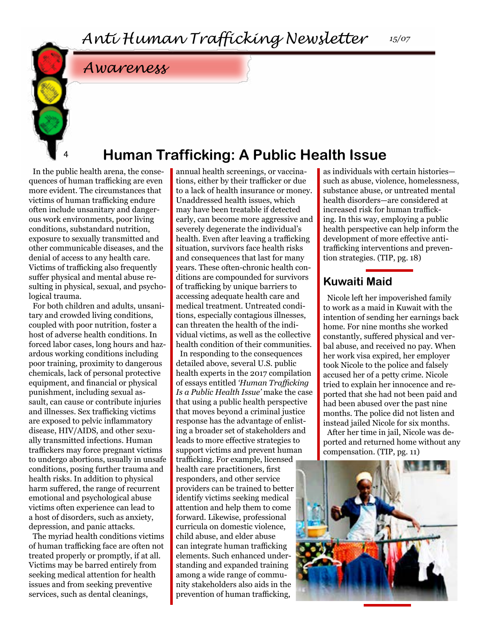### *Awareness*

### **Human Trafficking: A Public Health Issue**

In the public health arena, the consequences of human trafficking are even more evident. The circumstances that victims of human trafficking endure often include unsanitary and dangerous work environments, poor living conditions, substandard nutrition, exposure to sexually transmitted and other communicable diseases, and the denial of access to any health care. Victims of trafficking also frequently suffer physical and mental abuse resulting in physical, sexual, and psychological trauma.

4

For both children and adults, unsanitary and crowded living conditions, coupled with poor nutrition, foster a host of adverse health conditions. In forced labor cases, long hours and hazardous working conditions including poor training, proximity to dangerous chemicals, lack of personal protective equipment, and financial or physical punishment, including sexual assault, can cause or contribute injuries and illnesses. Sex trafficking victims are exposed to pelvic inflammatory disease, HIV/AIDS, and other sexually transmitted infections. Human traffickers may force pregnant victims to undergo abortions, usually in unsafe conditions, posing further trauma and health risks. In addition to physical harm suffered, the range of recurrent emotional and psychological abuse victims often experience can lead to a host of disorders, such as anxiety, depression, and panic attacks.

The myriad health conditions victims of human trafficking face are often not treated properly or promptly, if at all. Victims may be barred entirely from seeking medical attention for health issues and from seeking preventive services, such as dental cleanings,

annual health screenings, or vaccinations, either by their trafficker or due to a lack of health insurance or money. Unaddressed health issues, which may have been treatable if detected early, can become more aggressive and severely degenerate the individual's health. Even after leaving a trafficking situation, survivors face health risks and consequences that last for many years. These often-chronic health conditions are compounded for survivors of trafficking by unique barriers to accessing adequate health care and medical treatment. Untreated conditions, especially contagious illnesses, can threaten the health of the individual victims, as well as the collective health condition of their communities.

In responding to the consequences detailed above, several U.S. public health experts in the 2017 compilation of essays entitled *'Human Trafficking Is a Public Health Issue'* make the case that using a public health perspective that moves beyond a criminal justice response has the advantage of enlisting a broader set of stakeholders and leads to more effective strategies to support victims and prevent human trafficking. For example, licensed health care practitioners, first responders, and other service providers can be trained to better identify victims seeking medical attention and help them to come forward. Likewise, professional curricula on domestic violence, child abuse, and elder abuse can integrate human trafficking elements. Such enhanced understanding and expanded training among a wide range of community stakeholders also aids in the prevention of human trafficking,

as individuals with certain histories such as abuse, violence, homelessness, substance abuse, or untreated mental health disorders—are considered at increased risk for human trafficking. In this way, employing a public health perspective can help inform the development of more effective antitrafficking interventions and prevention strategies. (TIP, pg. 18)

#### **Kuwaiti Maid**

Nicole left her impoverished family to work as a maid in Kuwait with the intention of sending her earnings back home. For nine months she worked constantly, suffered physical and verbal abuse, and received no pay. When her work visa expired, her employer took Nicole to the police and falsely accused her of a petty crime. Nicole tried to explain her innocence and reported that she had not been paid and had been abused over the past nine months. The police did not listen and instead jailed Nicole for six months. After her time in jail, Nicole was deported and returned home without any



compensation. (TIP, pg. 11)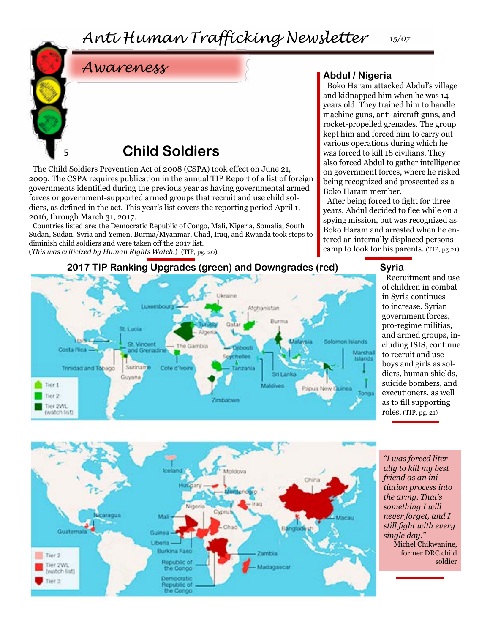*Anti Human Trafficking Newsletter 15/07*



### **Child Soldiers**

The Child Soldiers Prevention Act of 2008 (CSPA) took effect on June 21, 2009. The CSPA requires publication in the annual TIP Report of a list of foreign governments identified during the previous year as having governmental armed forces or government-supported armed groups that recruit and use child soldiers, as defined in the act. This year's list covers the reporting period April 1, 2016, through March 31, 2017.

Countries listed are: the Democratic Republic of Congo, Mali, Nigeria, Somalia, South Sudan, Sudan, Syria and Yemen. Burma/Myanmar, Chad, Iraq, and Rwanda took steps to diminish child soldiers and were taken off the 2017 list.

(*This was criticized by Human Rights Watch.*) (TIP, pg. 20)

## *Awareness* **Abdul / Nigeria**

Boko Haram attacked Abdul's village and kidnapped him when he was 14 years old. They trained him to handle machine guns, anti-aircraft guns, and rocket-propelled grenades. The group kept him and forced him to carry out various operations during which he was forced to kill 18 civilians. They also forced Abdul to gather intelligence on government forces, where he risked being recognized and prosecuted as a Boko Haram member.

After being forced to fight for three years, Abdul decided to flee while on a spying mission, but was recognized as Boko Haram and arrested when he entered an internally displaced persons camp to look for his parents. (TIP, pg.21)



#### **2017 TIP Ranking Upgrades (green) and Downgrades (red)**

#### **Syria**

Recruitment and use of children in combat in Syria continues to increase. Syrian government forces, pro-regime militias, and armed groups, including ISIS, continue to recruit and use boys and girls as soldiers, human shields, suicide bombers, and executioners, as well as to fill supporting roles. (TIP, pg. 21)



*"I was forced literally to kill my best friend as an initiation process into the army. That's something I will never forget, and I still fight with every single day."*  Michel Chikwanine, former DRC child

soldier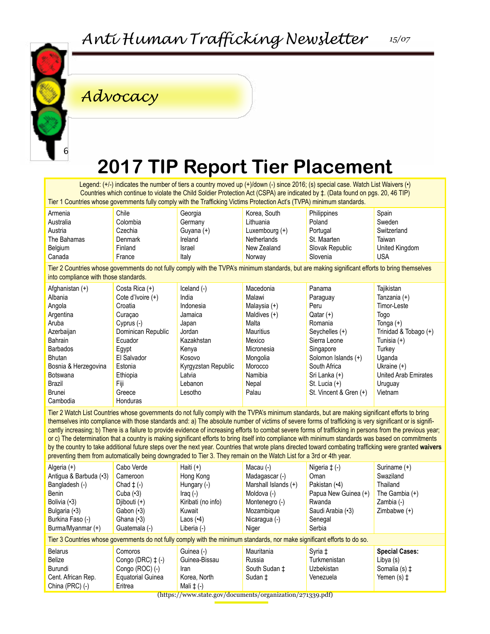

### *Advocacy*

### **2017 TIP Report Tier Placement**

Legend: (+/-) indicates the number of tiers a country moved up (+)/down (-) since 2016; (s) special case. Watch List Waivers (•) Countries which continue to violate the Child Soldier Protection Act (CSPA) are indicated by ‡. (Data found on pgs. 20, 46 TIP) Tier 1 Countries whose governments fully comply with the Trafficking Victims Protection Act's (TVPA) minimum standards.

| Armenia     | Chile    | Georgia       | Korea, South       | Philippines     | Spain          |
|-------------|----------|---------------|--------------------|-----------------|----------------|
| Australia   | Colombia | Germany       | Lithuania          | Poland          | Sweden         |
| Austria     | Czechia  | Guyana (+)    | Luxembourg $(+)$   | Portugal        | Switzerland    |
| The Bahamas | Denmark  | Ireland       | <b>Netherlands</b> | St. Maarten     | Taiwan         |
| Belgium     | Finland  | <b>Israel</b> | New Zealand        | Slovak Republic | United Kingdom |
| Canada      | France   | Italy         | Norway             | Slovenia        | USA            |
|             |          |               |                    |                 |                |

Tier 2 Countries whose governments do not fully comply with the TVPA's minimum standards, but are making significant efforts to bring themselves into compliance with those standards.

| Afghanistan (+)      | Costa Rica (+)      | $l$ celand $(-)$    | Macedonia      | Panama                 | Tajikistan                  |
|----------------------|---------------------|---------------------|----------------|------------------------|-----------------------------|
| Albania              | Cote d'Ivoire $(+)$ | India               | Malawi         | Paraguay               | Tanzania (+)                |
| Angola               | Croatia             | Indonesia           | Malaysia $(+)$ | Peru                   | Timor-Leste                 |
| Argentina            | Curacao             | Jamaica             | Maldives $(+)$ | $\text{Qatar } (+)$    | Togo                        |
| Aruba                | Cyprus $(-)$        | Japan               | Malta          | Romania                | Tonga $(+)$                 |
| Azerbaijan           | Dominican Republic  | Jordan              | Mauritius      | Seychelles (+)         | Trinidad & Tobago (+)       |
| Bahrain              | Ecuador             | Kazakhstan          | Mexico         | Sierra Leone           | Tunisia (+)                 |
| <b>Barbados</b>      | Egypt               | Kenya               | Micronesia     | Singapore              | Turkey                      |
| <b>Bhutan</b>        | El Salvador         | Kosovo              | Mongolia       | Solomon Islands (+)    | Uganda                      |
| Bosnia & Herzegovina | Estonia             | Kyrgyzstan Republic | Morocco        | South Africa           | Ukraine $(+)$               |
| Botswana             | Ethiopia            | Latvia              | Namibia        | Sri Lanka (+)          | <b>United Arab Emirates</b> |
| Brazil               | Fiji                | Lebanon             | Nepal          | St. Lucia $(+)$        | Uruguay                     |
| Brunei               | Greece              | Lesotho             | Palau          | St. Vincent & Gren (+) | Vietnam                     |
| Cambodia             | Honduras            |                     |                |                        |                             |

Tier 2 Watch List Countries whose governments do not fully comply with the TVPA's minimum standards, but are making significant efforts to bring themselves into compliance with those standards and: a) The absolute number of victims of severe forms of trafficking is very significant or is significantly increasing; b) There is a failure to provide evidence of increasing efforts to combat severe forms of trafficking in persons from the previous year; or c) The determination that a country is making significant efforts to bring itself into compliance with minimum standards was based on commitments by the country to take additional future steps over the next year. Countries that wrote plans directed toward combating trafficking were granted **waivers** preventing them from automatically being downgraded to Tier 3. They remain on the Watch List for a 3rd or 4th year.

| Algeria $(+)$<br>Antiqua & Barbuda (.3)<br>Bangladesh (-)<br>Benin<br>Bolivia (.3)<br>Bulgaria (•3)<br>Burkina Faso (-)<br>Burma/Myanmar (+) | Cabo Verde<br>Cameroon<br>Chad $\pm$ (-)<br>Cuba $(•3)$<br>Djibouti $(+)$<br>Gabon $(•3)$<br>Ghana $(3)$<br>Guatemala (-) | Haiti $(+)$<br>Hong Kong<br>Hungary (-)<br>Iraq $(-)$<br>Kiribati (no info)<br>Kuwait<br>Laos $(•4)$<br>Liberia (-) | Macau (-)<br>Madagascar (-)<br>Marshall Islands (+)<br>Moldova (-)<br>Montenegro (-)<br>Mozambique<br>Nicaragua (-)<br>Niger | Nigeria $\ddagger$ (-)<br>Oman<br>Pakistan (.4)<br>Papua New Guinea (+)<br>Rwanda<br>Saudi Arabia (.3)<br>Senegal<br>Serbia | Suriname (+)<br>Swaziland<br>Thailand<br>The Gambia $(+)$<br>Zambia (-)<br>Zimbabwe $(+)$ |  |
|----------------------------------------------------------------------------------------------------------------------------------------------|---------------------------------------------------------------------------------------------------------------------------|---------------------------------------------------------------------------------------------------------------------|------------------------------------------------------------------------------------------------------------------------------|-----------------------------------------------------------------------------------------------------------------------------|-------------------------------------------------------------------------------------------|--|
| Tier 3 Countries whose governments do not fully comply with the minimum standards, nor make significant efforts to do so.                    |                                                                                                                           |                                                                                                                     |                                                                                                                              |                                                                                                                             |                                                                                           |  |
| <b>Belarus</b><br>Belize<br>Burundi<br>Cent. African Rep.<br>China $(PRC)$ $(-)$                                                             | Comoros<br>Congo (DRC) $\ddagger$ (-)<br>Congo (ROC) (-)<br><b>Equatorial Guinea</b><br>Eritrea                           | Guinea (-)<br>Guinea-Bissau<br>Iran<br>Korea, North<br>Mali $\ddagger$ (-)                                          | Mauritania<br>Russia<br>South Sudan ±<br>Sudan ±                                                                             | Syria ‡<br>Turkmenistan<br>Uzbekistan<br>Venezuela                                                                          | <b>Special Cases:</b><br>Libya (s)<br>Somalia (s) ±<br>Yemen $(s)$ $\ddagger$             |  |

(https://www.state.gov/documents/organization/271339.pdf)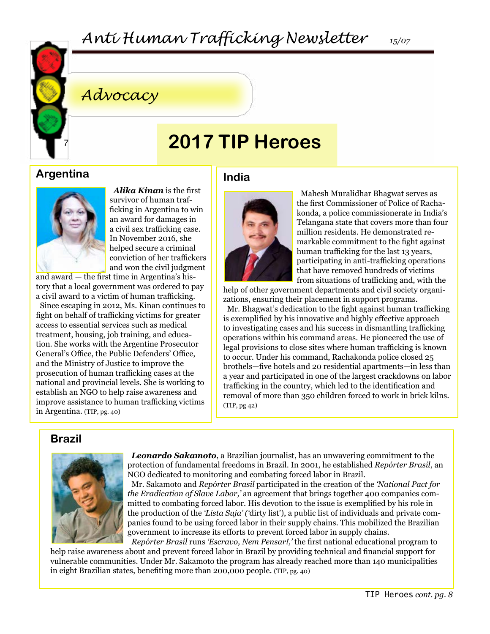

### *Advocacy*

### **2017 TIP Heroes**

#### **Argentina**



*Alika Kinan* is the first survivor of human trafficking in Argentina to win an award for damages in a civil sex trafficking case. In November 2016, she helped secure a criminal conviction of her traffickers and won the civil judgment

and award — the first time in Argentina's history that a local government was ordered to pay a civil award to a victim of human trafficking.

Since escaping in 2012, Ms. Kinan continues to fight on behalf of trafficking victims for greater access to essential services such as medical treatment, housing, job training, and education. She works with the Argentine Prosecutor General's Office, the Public Defenders' Office, and the Ministry of Justice to improve the prosecution of human trafficking cases at the national and provincial levels. She is working to establish an NGO to help raise awareness and improve assistance to human trafficking victims in Argentina. (TIP, pg. 40)

#### **India**



Mahesh Muralidhar Bhagwat serves as the first Commissioner of Police of Rachakonda, a police commissionerate in India's Telangana state that covers more than four million residents. He demonstrated remarkable commitment to the fight against human trafficking for the last 13 years, participating in anti-trafficking operations that have removed hundreds of victims from situations of trafficking and, with the

help of other government departments and civil society organizations, ensuring their placement in support programs.

Mr. Bhagwat's dedication to the fight against human trafficking is exemplified by his innovative and highly effective approach to investigating cases and his success in dismantling trafficking operations within his command areas. He pioneered the use of legal provisions to close sites where human trafficking is known to occur. Under his command, Rachakonda police closed 25 brothels—five hotels and 20 residential apartments—in less than a year and participated in one of the largest crackdowns on labor trafficking in the country, which led to the identification and removal of more than 350 children forced to work in brick kilns. (TIP, pg 42)

### **Brazil**



*Leonardo Sakamoto*, a Brazilian journalist, has an unwavering commitment to the protection of fundamental freedoms in Brazil. In 2001, he established *Repórter Brasil*, an NGO dedicated to monitoring and combating forced labor in Brazil.

Mr. Sakamoto and *Repórter Brasil* participated in the creation of the *'National Pact for the Eradication of Slave Labor,'* an agreement that brings together 400 companies committed to combating forced labor. His devotion to the issue is exemplified by his role in the production of the *'Lista Suja' ('*dirty list'), a public list of individuals and private companies found to be using forced labor in their supply chains. This mobilized the Brazilian government to increase its efforts to prevent forced labor in supply chains. *Repórter Brasil* runs *'Escravo, Nem Pensar!,'* the first national educational program to

help raise awareness about and prevent forced labor in Brazil by providing technical and financial support for vulnerable communities. Under Mr. Sakamoto the program has already reached more than 140 municipalities in eight Brazilian states, benefiting more than 200,000 people. (TIP, pg. 40)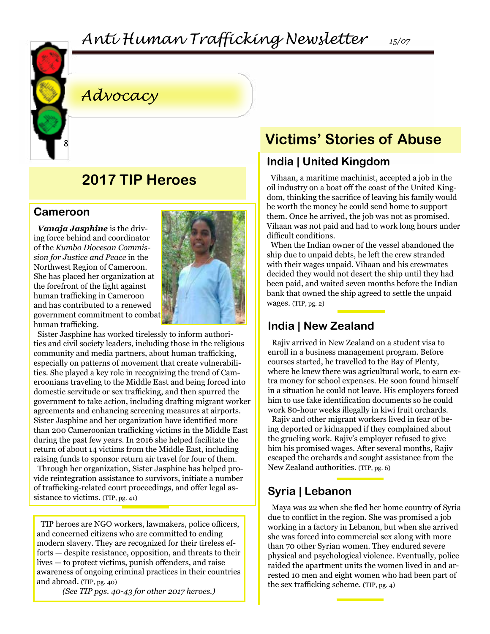### *Anti Human Trafficking Newsletter 15/07*



### *Advocacy*

### **2017 TIP Heroes**

#### **Cameroon**

*Vanaja Jasphine* is the driving force behind and coordinator of the *Kumbo Diocesan Commission for Justice and Peace* in the Northwest Region of Cameroon. She has placed her organization at the forefront of the fight against human trafficking in Cameroon and has contributed to a renewed government commitment to combat human trafficking.



Sister Jasphine has worked tirelessly to inform authorities and civil society leaders, including those in the religious community and media partners, about human trafficking, especially on patterns of movement that create vulnerabilities. She played a key role in recognizing the trend of Cameroonians traveling to the Middle East and being forced into domestic servitude or sex trafficking, and then spurred the government to take action, including drafting migrant worker agreements and enhancing screening measures at airports. Sister Jasphine and her organization have identified more than 200 Cameroonian trafficking victims in the Middle East during the past few years. In 2016 she helped facilitate the return of about 14 victims from the Middle East, including raising funds to sponsor return air travel for four of them.

Through her organization, Sister Jasphine has helped provide reintegration assistance to survivors, initiate a number of trafficking-related court proceedings, and offer legal assistance to victims. (TIP, pg. 41)

TIP heroes are NGO workers, lawmakers, police officers, and concerned citizens who are committed to ending modern slavery. They are recognized for their tireless efforts — despite resistance, opposition, and threats to their lives — to protect victims, punish offenders, and raise awareness of ongoing criminal practices in their countries and abroad. (TIP, pg. 40)

*(See TIP pgs. 40-43 for other 2017 heroes.)*

### **Victims' Stories of Abuse**

### **India | United Kingdom**

Vihaan, a maritime machinist, accepted a job in the oil industry on a boat off the coast of the United Kingdom, thinking the sacrifice of leaving his family would be worth the money he could send home to support them. Once he arrived, the job was not as promised. Vihaan was not paid and had to work long hours under difficult conditions.

When the Indian owner of the vessel abandoned the ship due to unpaid debts, he left the crew stranded with their wages unpaid. Vihaan and his crewmates decided they would not desert the ship until they had been paid, and waited seven months before the Indian bank that owned the ship agreed to settle the unpaid wages. (TIP, pg. 2)

### **India | New Zealand**

Rajiv arrived in New Zealand on a student visa to enroll in a business management program. Before courses started, he travelled to the Bay of Plenty, where he knew there was agricultural work, to earn extra money for school expenses. He soon found himself in a situation he could not leave. His employers forced him to use fake identification documents so he could work 80-hour weeks illegally in kiwi fruit orchards.

Rajiv and other migrant workers lived in fear of being deported or kidnapped if they complained about the grueling work. Rajiv's employer refused to give him his promised wages. After several months, Rajiv escaped the orchards and sought assistance from the New Zealand authorities. (TIP, pg. 6)

### **Syria | Lebanon**

Maya was 22 when she fled her home country of Syria due to conflict in the region. She was promised a job working in a factory in Lebanon, but when she arrived she was forced into commercial sex along with more than 70 other Syrian women. They endured severe physical and psychological violence. Eventually, police raided the apartment units the women lived in and arrested 10 men and eight women who had been part of the sex trafficking scheme. (TIP, pg. 4)